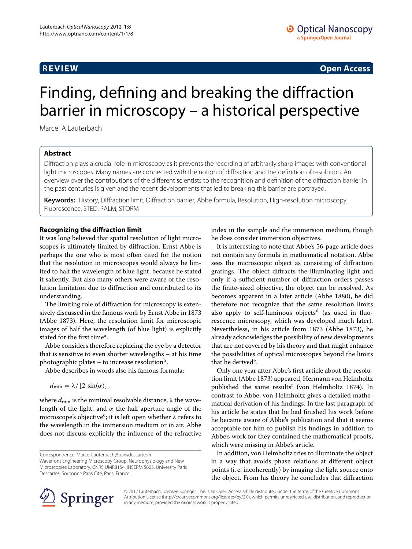**REVIEW Open Access**

# Finding, defining and breaking the diffraction barrier in microscopy – a historical perspective

Marcel A Lauterbach

## **Abstract**

Diffraction plays a crucial role in microscopy as it prevents the recording of arbitrarily sharp images with conventional light microscopes. Many names are connected with the notion of diffraction and the definition of resolution. An overview over the contributions of the different scientists to the recognition and definition of the diffraction barrier in the past centuries is given and the recent developments that led to breaking this barrier are portrayed.

**Keywords:** History, Diffraction limit, Diffraction barrier, Abbe formula, Resolution, High-resolution microscopy, Fluorescence, STED, PALM, STORM

#### **Recognizing the diffraction limit**

It was long believed that spatial resolution of light microscopes is ultimately limited by diffraction. Ernst Abbe is perhaps the one who is most often cited for the notion that the resolution in microscopes would always be limited to half the wavelength of blue light, because he stated it saliently. But also many others were aware of the resolution limitation due to diffraction and contributed to its understanding.

The limiting role of diffraction for microscopy is extensively discussed in the famous work by Ernst Abbe in 1873 (Abbe [1873\)](#page-5-0). Here, the resolution limit for microscopic images of half the wavelength (of blue light) is explicitly stated for the first time<sup>a</sup>.

Abbe considers therefore replacing the eye by a detector that is sensitive to even shorter wavelengths – at his time photographic plates  $-$  to increase resolution<sup>b</sup>.

Abbe describes in words also his famous formula:

 $d_{\min} = \lambda / [2 \sin(\alpha)]$ ,

where  $d_{\text{min}}$  is the minimal resolvable distance,  $\lambda$  the wavelength of the light, and *α* the half aperture angle of the microscope's objective<sup>c</sup>; it is left open whether λ refers to the wavelength in the immersion medium or in air. Abbe does not discuss explicitly the influence of the refractive

Correspondence: Marcel.Lauterbach@parisdescartes.fr

Wavefront Engineering Microscopy Group, Neurophysiology and New Microscopies Laboratory, CNRS UMR8154, INSERM S603, University Paris Descartes, Sorbonne Paris Cité, Paris, France

index in the sample and the immersion medium, though he does consider immersion objectives.

It is interesting to note that Abbe's 56-page article does not contain any formula in mathematical notation. Abbe sees the microscopic object as consisting of diffraction gratings. The object diffracts the illuminating light and only if a sufficient number of diffraction orders passes the finite-sized objective, the object can be resolved. As becomes apparent in a later article (Abbe [1880\)](#page-5-1), he did therefore not recognize that the same resolution limits also apply to self-luminous objects<sup>d</sup> (as used in fluorescence microscopy, which was developed much later). Nevertheless, in his article from 1873 (Abbe [1873\)](#page-5-0), he already acknowledges the possibility of new developments that are not covered by his theory and that might enhance the possibilities of optical microscopes beyond the limits that he derived<sup>e</sup>.

Only one year after Abbe's first article about the resolution limit (Abbe [1873\)](#page-5-0) appeared, Hermann von Helmholtz published the same results<sup>f</sup> (von Helmholtz [1874\)](#page-7-0). In contrast to Abbe, von Helmholtz gives a detailed mathematical derivation of his findings. In the last paragraph of his article he states that he had finished his work before he became aware of Abbe's publication and that it seems acceptable for him to publish his findings in addition to Abbe's work for they contained the mathematical proofs, which were missing in Abbe's article.

In addition, von Helmholtz tries to illuminate the object in a way that avoids phase relations at different object points (i. e. incoherently) by imaging the light source onto the object. From his theory he concludes that diffraction



© 2012 Lauterbach; licensee Springer. This is an Open Access article distributed under the terms of the Creative Commons Attribution License (http://creativecommons.org/licenses/by/2.0), which permits unrestricted use, distribution, and reproduction in any medium, provided the original work is properly cited.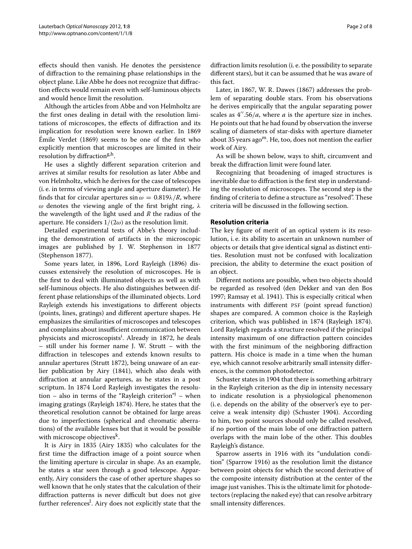effects should then vanish. He denotes the persistence of diffraction to the remaining phase relationships in the object plane. Like Abbe he does not recognize that diffraction effects would remain even with self-luminous objects and would hence limit the resolution.

Although the articles from Abbe and von Helmholtz are the first ones dealing in detail with the resolution limitations of microscopes, the effects of diffraction and its implication for resolution were known earlier. In 1869 Émile Verdet  $(1869)$  seems to be one of the first who explicitly mention that microscopes are limited in their resolution by diffraction<sup>g,h</sup>.

He uses a slightly different separation criterion and arrives at similar results for resolution as later Abbe and von Helmholtz, which he derives for the case of telescopes (i. e. in terms of viewing angle and aperture diameter). He finds that for circular apertures  $\sin \omega = 0.819\lambda/R$ , where *ω* denotes the viewing angle of the first bright ring, *λ* the wavelength of the light used and *R* the radius of the aperture. He considers 1*/(*2*ω)* as the resolution limit.

Detailed experimental tests of Abbe's theory including the demonstration of artifacts in the microscopic images are published by J. W. Stephenson in 1877 (Stephenson [1877\)](#page-7-2).

Some years later, in 1896, Lord Rayleigh [\(1896\)](#page-7-3) discusses extensively the resolution of microscopes. He is the first to deal with illuminated objects as well as with self-luminous objects. He also distinguishes between different phase relationships of the illuminated objects. Lord Rayleigh extends his investigations to different objects (points, lines, gratings) and different aperture shapes. He emphasizes the similarities of microscopes and telescopes and complains about insufficient communication between physicists and microscopists<sup>i</sup>. Already in 1872, he deals – still under his former name J. W. Strutt – with the diffraction in telescopes and extends known results to annular apertures (Strutt [1872\)](#page-7-4), being unaware of an earlier publication by Airy [\(1841\)](#page-5-2), which also deals with diffraction at annular apertures, as he states in a post scriptum. In 1874 Lord Rayleigh investigates the resolution – also in terms of the "Rayleigh criterion" $\dot{J}$  – when imaging gratings (Rayleigh [1874\)](#page-7-5). Here, he states that the theoretical resolution cannot be obtained for large areas due to imperfections (spherical and chromatic aberrations) of the available lenses but that it would be possible with microscope objectives<sup>k</sup>.

It is Airy in 1835 (Airy [1835\)](#page-5-3) who calculates for the first time the diffraction image of a point source when the limiting aperture is circular in shape. As an example, he states a star seen through a good telescope. Apparently, Airy considers the case of other aperture shapes so well known that he only states that the calculation of their diffraction patterns is never difficult but does not give further references<sup>l</sup>. Airy does not explicitly state that the

diffraction limits resolution (i. e. the possibility to separate different stars), but it can be assumed that he was aware of this fact.

Later, in 1867, W. R. Dawes [\(1867\)](#page-6-0) addresses the problem of separating double stars. From his observations he derives empirically that the angular separating power scales as  $4''.56/a$ , where *a* is the aperture size in inches. He points out that he had found by observation the inverse scaling of diameters of star-disks with aperture diameter about 35 years ago<sup>m</sup>. He, too, does not mention the earlier work of Airy.

As will be shown below, ways to shift, circumvent and break the diffraction limit were found later.

Recognizing that broadening of imaged structures is inevitable due to diffraction is the first step in understanding the resolution of microscopes. The second step is the finding of criteria to define a structure as "resolved". These criteria will be discussed in the following section.

#### **Resolution criteria**

The key figure of merit of an optical system is its resolution, i. e. its ability to ascertain an unknown number of objects or details that give identical signal as distinct entities. Resolution must not be confused with localization precision, the ability to determine the exact position of an object.

Different notions are possible, when two objects should be regarded as resolved (den Dekker and van den Bos [1997;](#page-6-1) Ramsay et al. [1941\)](#page-7-6). This is especially critical when instruments with different PSF (point spread function) shapes are compared. A common choice is the Rayleigh criterion, which was published in 1874 (Rayleigh [1874\)](#page-7-5). Lord Rayleigh regards a structure resolved if the principal intensity maximum of one diffraction pattern coincides with the first minimum of the neighboring diffraction pattern. His choice is made in a time when the human eye, which cannot resolve arbitrarily small intensity differences, is the common photodetector.

Schuster states in 1904 that there is something arbitrary in the Rayleigh criterion as the dip in intensity necessary to indicate resolution is a physiological phenomenon (i. e. depends on the ability of the observer's eye to perceive a weak intensity dip) (Schuster [1904\)](#page-7-7). According to him, two point sources should only be called resolved, if no portion of the main lobe of one diffraction pattern overlaps with the main lobe of the other. This doubles Rayleigh's distance.

Sparrow asserts in 1916 with its "undulation condition" (Sparrow [1916\)](#page-7-8) as the resolution limit the distance between point objects for which the second derivative of the composite intensity distribution at the center of the image just vanishes. This is the ultimate limit for photodetectors (replacing the naked eye) that can resolve arbitrary small intensity differences.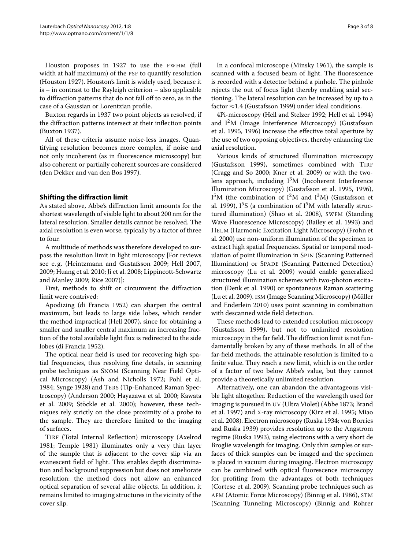Houston proposes in 1927 to use the FWHM (full width at half maximum) of the PSF to quantify resolution (Houston [1927\)](#page-6-2). Houston's limit is widely used, because it is – in contrast to the Rayleigh criterion – also applicable to diffraction patterns that do not fall off to zero, as in the case of a Gaussian or Lorentzian profile.

Buxton regards in 1937 two point objects as resolved, if the diffraction patterns intersect at their inflection points (Buxton [1937\)](#page-6-3).

All of these criteria assume noise-less images. Quantifying resolution becomes more complex, if noise and not only incoherent (as in fluorescence microscopy) but also coherent or partially coherent sources are considered (den Dekker and van den Bos [1997\)](#page-6-1).

#### **Shifting the diffraction limit**

As stated above, Abbe's diffraction limit amounts for the shortest wavelength of visible light to about 200 nm for the lateral resolution. Smaller details cannot be resolved. The axial resolution is even worse, typically by a factor of three to four.

A multitude of methods was therefore developed to surpass the resolution limit in light microscopy [For reviews see e. g. (Heintzmann and Gustafsson [2009;](#page-6-4) Hell [2007,](#page-6-5) [2009;](#page-6-6) Huang et al. [2010;](#page-6-7) Ji et al. [2008;](#page-6-8) Lippincott-Schwartz and Manley [2009;](#page-6-9) Rice [2007\)](#page-7-9)]:

First, methods to shift or circumvent the diffraction limit were contrived:

Apodizing (di Francia [1952\)](#page-6-10) can sharpen the central maximum, but leads to large side lobes, which render the method impractical (Hell [2007\)](#page-6-5), since for obtaining a smaller and smaller central maximum an increasing fraction of the total available light flux is redirected to the side lobes (di Francia [1952\)](#page-6-10).

The optical near field is used for recovering high spatial frequencies, thus resolving fine details, in scanning probe techniques as SNOM (Scanning Near Field Optical Microscopy) (Ash and Nicholls [1972;](#page-5-4) Pohl et al. [1984;](#page-6-11) Synge [1928\)](#page-7-10) and TERS (Tip-Enhanced Raman Spectroscopy) (Anderson [2000;](#page-5-5) Hayazawa et al. [2000;](#page-6-12) Kawata et al. [2009;](#page-6-13) Stöckle et al. [2000\)](#page-7-11); however, these techniques rely strictly on the close proximity of a probe to the sample. They are therefore limited to the imaging of surfaces.

TIRF (Total Internal Reflection) microscopy (Axelrod [1981;](#page-6-14) Temple [1981\)](#page-7-12) illuminates only a very thin layer of the sample that is adjacent to the cover slip via an evanescent field of light. This enables depth discrimination and background suppression but does not ameliorate resolution: the method does not allow an enhanced optical separation of several alike objects. In addition, it remains limited to imaging structures in the vicinity of the cover slip.

In a confocal microscope (Minsky [1961\)](#page-6-15), the sample is scanned with a focused beam of light. The fluorescence is recorded with a detector behind a pinhole. The pinhole rejects the out of focus light thereby enabling axial sectioning. The lateral resolution can be increased by up to a factor  $\approx$ 1.4 (Gustafsson [1999\)](#page-6-16) under ideal conditions.

4Pi-microscopy (Hell and Stelzer [1992;](#page-6-17) Hell et al. [1994\)](#page-6-18) and  $I<sup>2</sup>M$  (Image Interference Microscopy) (Gustafsson et al. [1995,](#page-6-19) [1996\)](#page-6-20) increase the effective total aperture by the use of two opposing objectives, thereby enhancing the axial resolution.

Various kinds of structured illumination microscopy (Gustafsson [1999\)](#page-6-16), sometimes combined with TIRF (Cragg and So [2000;](#page-6-21) Kner et al. [2009\)](#page-6-22) or with the twolens approach, including  $I<sup>3</sup>M$  (Incoherent Interference Illumination Microscopy) (Gustafsson et al. [1995,](#page-6-19) [1996\)](#page-6-20),  $I<sup>5</sup>M$  (the combination of  $I<sup>2</sup>M$  and  $I<sup>3</sup>M$ ) (Gustafsson et al. [1999\)](#page-6-23),  $I<sup>5</sup>S$  (a combination of  $I<sup>5</sup>M$  with laterally structured illumination) (Shao et al. [2008\)](#page-7-13), SWFM (Standing Wave Fluorescence Microscopy) (Bailey et al. [1993\)](#page-6-24) and HELM (Harmonic Excitation Light Microscopy) (Frohn et al. [2000\)](#page-6-25) use non-uniform illumination of the specimen to extract high spatial frequencies. Spatial or temporal modulation of point illumination in SPIN (Scanning Patterned Illumination) or SPADE (Scanning Patterned Detection) microscopy (Lu et al. [2009\)](#page-6-26) would enable generalized structured illumination schemes with two-photon excitation (Denk et al. [1990\)](#page-6-27) or spontaneous Raman scattering (Lu et al. [2009\)](#page-6-26). ISM (Image Scanning Microscopy) (Müller and Enderlein [2010\)](#page-6-28) uses point scanning in combination with descanned wide field detection.

These methods lead to extended resolution microscopy (Gustafsson [1999\)](#page-6-16), but not to unlimited resolution microscopy in the far field. The diffraction limit is not fundamentally broken by any of these methods. In all of the far-field methods, the attainable resolution is limited to a finite value. They reach a new limit, which is on the order of a factor of two below Abbe's value, but they cannot provide a theoretically unlimited resolution.

Alternatively, one can abandon the advantageous visible light altogether. Reduction of the wavelength used for imaging is pursued in UV (Ultra Violet) (Abbe [1873;](#page-5-0) Brand et al. [1997\)](#page-6-29) and X-ray microscopy (Kirz et al. [1995;](#page-6-30) Miao et al. [2008\)](#page-6-31). Electron microscopy (Ruska [1934;](#page-7-14) von Borries and Ruska [1939\)](#page-7-15) provides resolution up to the Angstrom regime (Ruska [1993\)](#page-7-16), using electrons with a very short de Broglie wavelength for imaging. Only thin samples or surfaces of thick samples can be imaged and the specimen is placed in vacuum during imaging. Electron microscopy can be combined with optical fluorescence microscopy for profiting from the advantages of both techniques (Cortese et al. [2009\)](#page-6-32). Scanning probe techniques such as AFM (Atomic Force Microscopy) (Binnig et al. [1986\)](#page-6-33), STM (Scanning Tunneling Microscopy) (Binnig and Rohrer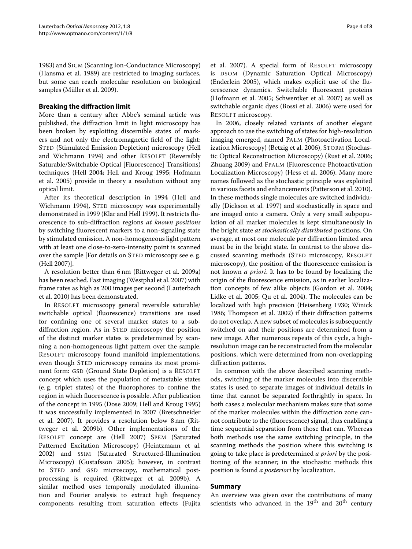[1983\)](#page-6-34) and SICM (Scanning Ion-Conductance Microscopy) (Hansma et al. [1989\)](#page-6-35) are restricted to imaging surfaces, but some can reach molecular resolution on biological samples (Müller et al. [2009\)](#page-6-36).

## **Breaking the diffraction limit**

More than a century after Abbe's seminal article was published, the diffraction limit in light microscopy has been broken by exploiting discernible states of markers and not only the electromagnetic field of the light: STED (Stimulated Emission Depletion) microscopy (Hell and Wichmann [1994\)](#page-6-37) and other RESOLFT (Reversibly Saturable/Switchable Optical [Fluorescence] Transitions) techniques (Hell [2004;](#page-6-38) Hell and Kroug [1995;](#page-6-39) Hofmann et al. [2005\)](#page-6-40) provide in theory a resolution without any optical limit.

After its theoretical description in 1994 (Hell and Wichmann [1994\)](#page-6-37), STED microscopy was experimentally demonstrated in 1999 (Klar and Hell [1999\)](#page-6-41). It restricts fluorescence to sub-diffraction regions *at known positions* by switching fluorescent markers to a non-signaling state by stimulated emission. A non-homogeneous light pattern with at least one close-to-zero-intensity point is scanned over the sample [For details on STED microscopy see e. g. (Hell [2007\)](#page-6-5)].

A resolution better than 6 nm (Rittweger et al. [2009a\)](#page-7-17) has been reached. Fast imaging (Westphal et al. [2007\)](#page-7-18) with frame rates as high as 200 images per second (Lauterbach et al. [2010\)](#page-6-42) has been demonstrated.

In RESOLFT microscopy general reversible saturable/ switchable optical (fluorescence) transitions are used for confining one of several marker states to a subdiffraction region. As in STED microscopy the position of the distinct marker states is predetermined by scanning a non-homogeneous light pattern over the sample. RESOLFT microscopy found manifold implementations, even though STED microscopy remains its most prominent form: GSD (Ground State Depletion) is a RESOLFT concept which uses the population of metastable states (e. g. triplet states) of the fluorophores to confine the region in which fluorescence is possible. After publication of the concept in 1995 (Dose [2009;](#page-6-43) Hell and Kroug [1995\)](#page-6-39) it was successfully implemented in 2007 (Bretschneider et al. [2007\)](#page-6-44). It provides a resolution below 8 nm (Rittweger et al. [2009b\)](#page-7-19). Other implementations of the RESOLFT concept are (Hell [2007\)](#page-6-5) SPEM (Saturated Patterned Excitation Microscopy) (Heintzmann et al. [2002\)](#page-6-45) and SSIM (Saturated Structured-Illumination Microscopy) (Gustafsson [2005\)](#page-6-46); however, in contrast to STED and GSD microscopy, mathematical postprocessing is required (Rittweger et al. [2009b\)](#page-7-19). A similar method uses temporally modulated illumination and Fourier analysis to extract high frequency components resulting from saturation effects (Fujita

et al. [2007\)](#page-6-47). A special form of RESOLFT microscopy is DSOM (Dynamic Saturation Optical Microscopy) (Enderlein [2005\)](#page-6-48), which makes explicit use of the fluorescence dynamics. Switchable fluorescent proteins (Hofmann et al. [2005;](#page-6-40) Schwentker et al. [2007\)](#page-7-20) as well as switchable organic dyes (Bossi et al. [2006\)](#page-6-49) were used for RESOLFT microscopy.

In 2006, closely related variants of another elegant approach to use the switching of states for high-resolution imaging emerged, named PALM (Photoactivation Localization Microscopy) (Betzig et al. [2006\)](#page-6-50), STORM (Stochastic Optical Reconstruction Microscopy) (Rust et al. [2006;](#page-7-21) Zhuang [2009\)](#page-7-22) and FPALM (Fluorescence Photoactivation Localization Microscopy) (Hess et al. [2006\)](#page-6-51). Many more names followed as the stochastic principle was exploited in various facets and enhancements (Patterson et al. [2010\)](#page-6-52). In these methods single molecules are switched individually (Dickson et al. [1997\)](#page-6-53) and stochastically in space and are imaged onto a camera. Only a very small subpopulation of all marker molecules is kept simultaneously in the bright state *at stochastically distributed* positions. On average, at most one molecule per diffraction limited area must be in the bright state. In contrast to the above discussed scanning methods (STED microscopy, RESOLFT microscopy), the position of the fluorescence emission is not known *a priori*. It has to be found by localizing the origin of the fluorescence emission, as in earlier localization concepts of few alike objects (Gordon et al. [2004;](#page-6-54) Lidke et al. [2005;](#page-6-55) Qu et al. [2004\)](#page-7-23). The molecules can be localized with high precision (Heisenberg [1930;](#page-6-56) Winick [1986;](#page-7-24) Thompson et al. [2002\)](#page-7-25) if their diffraction patterns do not overlap. A new subset of molecules is subsequently switched on and their positions are determined from a new image. After numerous repeats of this cycle, a highresolution image can be reconstructed from the molecular positions, which were determined from non-overlapping diffraction patterns.

In common with the above described scanning methods, switching of the marker molecules into discernible states is used to separate images of individual details in time that cannot be separated forthrightly in space. In both cases a molecular mechanism makes sure that some of the marker molecules within the diffraction zone cannot contribute to the (fluorescence) signal, thus enabling a time sequential separation from those that can. Whereas both methods use the same switching principle, in the scanning methods the position where this switching is going to take place is predetermined *a priori* by the positioning of the scanner; in the stochastic methods this position is found *a posteriori* by localization.

# **Summary**

An overview was given over the contributions of many scientists who advanced in the 19<sup>th</sup> and 20<sup>th</sup> century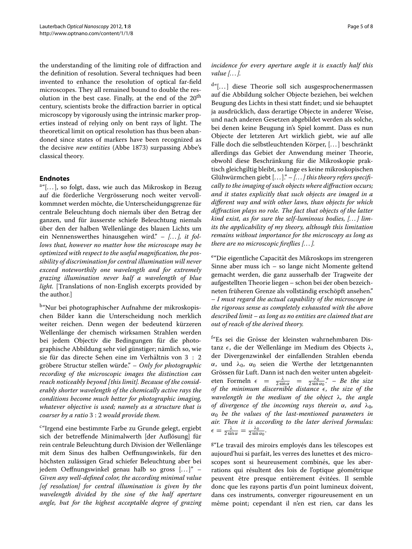the understanding of the limiting role of diffraction and the definition of resolution. Several techniques had been invented to enhance the resolution of optical far-field microscopes. They all remained bound to double the resolution in the best case. Finally, at the end of the 20<sup>th</sup> century, scientists broke the diffraction barrier in optical microscopy by vigorously using the intrinsic marker properties instead of relying only on bent rays of light. The theoretical limit on optical resolution has thus been abandoned since states of markers have been recognized as the decisive *new entities* (Abbe [1873\)](#page-5-0) surpassing Abbe's classical theory.

# **Endnotes**

a"[...], so folgt, dass, wie auch das Mikroskop in Bezug auf die förderliche Vergrösserung noch weiter vervollkommnet werden möchte, die Unterscheidungsgrenze für centrale Beleuchtung doch niemals über den Betrag der ganzen, und für äusserste schiefe Beleuchtung niemals über den der halben Wellenlänge des blauen Lichts um ein Nennenswerthes hinausgehen wird." – *[. . . ], it follows that, however no matter how the microscope may be optimized with respect to the useful magnification, the possibility of discrimination for central illumination will never exceed noteworthily one wavelength and for extremely grazing illumination never half a wavelength of blue light.* [Translations of non-English excerpts provided by the author.]

b"Nur bei photographischer Aufnahme der mikroskopischen Bilder kann die Unterscheidung noch merklich weiter reichen. Denn wegen der bedeutend kürzeren Wellenlänge der chemisch wirksamen Strahlen werden bei jedem Objectiv die Bedingungen für die photographische Abbildung sehr viel günstiger; nämlich so, wie sie für das directe Sehen eine im Verhältnis von 3 : 2 gröbere Structur stellen würde." – Only for photographic *recording of the microscopic images the distinction can reach noticeably beyond [this limit]. Because of the considerably shorter wavelength of the chemically active rays the conditions become much better for photographic imaging, whatever objective is used; namely as a structure that is coarser by a ratio* 3:2 *would provide them.*

c"Irgend eine bestimmte Farbe zu Grunde gelegt, ergiebt sich der betreffende Minimalwerth [der Auflösung] für rein centrale Beleuchtung durch Division der Wellenlänge mit dem Sinus des halben Oeffnungswinkels, für den höchsten zulässigen Grad schiefer Beleuchtung aber bei jedem Oeffnungswinkel genau halb so gross  $[...]$ " – *Given any well-defined color, the according minimal value [of resolution] for central illumination is given by the wavelength divided by the sine of the half aperture angle, but for the highest acceptable degree of grazing*

# *incidence for every aperture angle it is exactly half this value [. . . ].*

d"[...] diese Theorie soll sich ausgesprochenermassen auf die Abbildung solcher Objecte beziehen, bei welchen Beugung des Lichts in thesi statt findet; und sie behauptet ja ausdrücklich, dass derartige Objecte in anderer Weise, und nach anderen Gesetzen abgebildet werden als solche, bei denen keine Beugung in's Spiel kommt. Dass es nun Objecte der letzteren Art wirklich giebt, wie auf alle Fälle doch die selbstleuchtenden Körper, [...] beschränkt allerdings das Gebiet der Anwendung meiner Theorie, obwohl diese Beschränkung für die Mikroskopie praktisch gleichgiltig bleibt, so lange es keine mikroskopischen Glühwürmchen giebt [...]" - [...] this theory refers specifi*cally to the imaging of such objects where diffraction occurs; and it states explicitly that such objects are imaged in a different way and with other laws, than objects for which diffraction plays no role. The fact that objects of the latter kind exist, as for sure the self-luminous bodies, [. . . ] limits the applicability of my theory, although this limitation remains without importance for the microscopy as long as there are no microscopic fireflies [. . . ].*

e "Die eigentliche Capacität des Mikroskops im strengeren Sinne aber muss ich – so lange nicht Momente geltend gemacht werden, die ganz ausserhalb der Tragweite der aufgestellten Theorie liegen – schon bei der oben bezeichneten früheren Grenze als vollständig erschöpft ansehen." – *I must regard the actual capability of the microscope in the rigorous sense as completely exhausted with the above described limit – as long as no entities are claimed that are out of reach of the derived theory.*

<sup>f</sup> Es sei die Grösse der kleinsten wahrnehmbaren Distanz  $\epsilon$ , die der Wellenlänge im Medium des Objects λ, der Divergenzwinkel der einfallenden Strahlen ebenda *α*, und *λ*0, *α*<sup>0</sup> seien die Werthe der letztgenannten Grössen für Luft. Dann ist nach den weiter unten abgeleiteten Formeln  $\epsilon = \frac{\lambda}{2 \sin \alpha} = \frac{\lambda_0}{2 \sin \alpha_0}$ ." – *Be the size of the minimum discernible distance , the size of the wavelength in the medium of the object λ, the angle of divergence of the incoming rays therein α, and λ*0*, α*<sup>0</sup> *be the values of the last-mentioned parameters in air. Then it is according to the later derived formulas:*  $\epsilon = \frac{\lambda}{2 \sin \alpha} = \frac{\lambda_0}{2 \sin \alpha_0}.$ 

<sup>g</sup>"Le travail des miroirs employés dans les télescopes est aujourd'hui si parfait, les verres des lunettes et des microscopes sont si heureusement combinés, que les aberrations qui résultent des lois de l'optique géométrique peuvent être presque entièrement évitées. Il semble donc que les rayons partis d'un point lumineux doivent, dans ces instruments, converger rigoureusement en un même point; cependant il n'en est rien, car dans les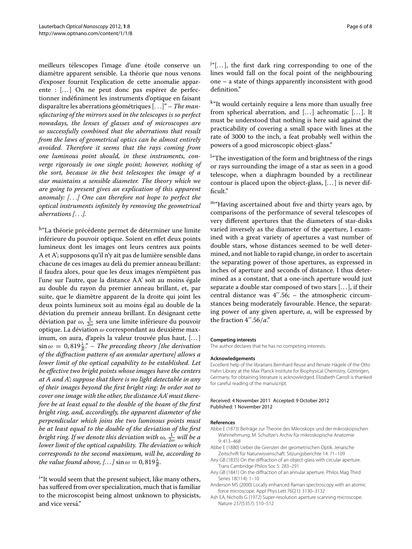meilleurs télescopes l'image d'une étoile conserve un diamètre apparent sensible. La théorie que nous venons d'exposer fournit l'explication de cette anomalie apparente : [...] On ne peut donc pas espérer de perfectionner indefiniment les instruments d'optique en faisant ´ disparaître les aberrations géométriques [...]" – *The manufacturing of the mirrors used in the telescopes is so perfect nowadays, the lenses of glasses and of microscopes are so successfully combined that the aberrations that result from the laws of geometrical optics can be almost entirely avoided. Therefore it seems that the rays coming from one luminous point should, in these instruments, converge rigorously in one single point; however, nothing of the sort, because in the best telescopes the image of a star maintains a sensible diameter. The theory which we are going to present gives an explication of this apparent anomaly: [...] One can therefore not hope to perfect the optical instruments infinitely by removing the geometrical aberrations [...].*

h"La théorie précédente permet de déterminer une limite inférieure du pouvoir optique. Soient en effet deux points lumineux dont les images ont leurs centres aux points A et A'; supposons qu'il n'y ait pas de lumière sensible dans chacune de ces images au delà du premier anneau brillant: il faudra alors, pour que les deux images n'empiètent pas l'une sur l'autre, que la distance AA' soit au moins égale au double du rayon du premier anneau brillant, et, par suite, que le diamètre apparent de la droite qui joint les deux points lumineux soit au moins égal au double de la déviation du premeir anneau brillant. En désignant cette déviation par *ω*,  $\frac{1}{2\omega}$  sera une limite inférieure du pouvoir optique. La déviation ω correspondant au deuxième maximum, on aura, d'après la valeur trouvée plus haut, [...]  $\sin \omega = 0.819 \frac{\lambda}{R}$ ." – *The preceding theory [the derivation of the diffraction pattern of an annular aperture] allows a lower limit of the optical capability to be established. Let be effective two bright points whose images have the centers at A and A'; suppose that there is no light detectable in any of their images beyond the first bright ring: In order not to cover one image with the other, the distance AA' must therefore be at least equal to the double of the beam of the first bright ring, and, accordingly, the apparent diameter of the perpendicular which joins the two luminous points must be at least equal to the double of the deviation of the first* bright ring. If we denote this deviation with  $\omega$ ,  $\frac{1}{2\omega}$  will be a *lower limit of the optical capability. The deviation ω which corresponds to the second maximum, will be, according to the value found above, [...]*  $\sin \omega = 0,819 \frac{\lambda}{R}$ *.* 

<sup>i</sup> "It would seem that the present subject, like many others, has suffered from over specialization, much that is familiar to the microscopist being almost unknown to physicists, and vice versá."

<sup>j"[...]</sup>, the first dark ring corresponding to one of the lines would fall on the focal point of the neighbouring one – a state of things apparently inconsistent with good definition."

k"It would certainly require a lens more than usually free from spherical aberration, and [...] achromatic [...]. It must be understood that nothing is here said against the practicability of covering a small space with lines at the rate of 3000 to the inch, a feat probably well within the powers of a good microscopic object-glass."

 $^{\rm l}$ "The investigation of the form and brightness of the rings or rays surrounding the image of a star as seen in a good telescope, when a diaphragm bounded by a rectilinear contour is placed upon the object-glass, [. . . ] is never difficult."

m"Having ascertained about five and thirty years ago, by comparisons of the performance of several telescopes of very different apertures that the diameters of star-disks varied inversely as the diameter of the aperture, I examined with a great variety of apertures a vast number of double stars, whose distances seemed to be well determined, and not liable to rapid change, in order to ascertain the separating power of those apertures, as expressed in inches of aperture and seconds of distance. I thus determined as a constant, that a one-inch aperture would just separate a double star composed of two stars [. . . ], if their central distance was  $4^{\prime\prime}$ .56; – the atmospheric circumstances being moderately favourable. Hence, the separating power of any given aperture, *a*, will be expressed by the fraction 4''.56/*a*."

#### **Competing interests**

The author declares that he has no competing interests.

#### **Acknowledgements**

Excellent help of the librarians Bernhard Reuse and Renate Hägele of the Otto Hahn Library at the Max Planck Institute for Biophysical Chemistry, Göttingen, Germany, for obtaining literature is acknowledged. Elizabeth Carroll is thanked for careful reading of the manuscript.

#### Received: 4 November 2011 Accepted: 9 October 2012 Published: 1 November 2012

#### **References**

- <span id="page-5-0"></span>Abbe E (1873) Beiträge zur Theorie des Mikroskops und der mikroskopischen Wahrnehmung. M. Schultze's Archiv fur mikroskopische Anatomie ¨ 9: 413–468
- <span id="page-5-1"></span>Abbe E (1880) Ueber die Grenzen der geometrischen Optik. Jenaische Zeitschrift für Naturwissenschaft. Sitzungsberichte 14: 71-109
- <span id="page-5-3"></span>Airy GB (1835) On the diffraction of an object-glass with circular aperture. Trans Cambridge Philos Soc 5: 283–291
- <span id="page-5-2"></span>Airy GB (1841) On the diffraction of an annular aperture. Philos Mag Third Series 18(114): 1–10
- <span id="page-5-5"></span>Anderson MS (2000) Locally enhanced Raman spectroscopy with an atomic force microscope. Appl Phys Lett 76(21): 3130–3132
- <span id="page-5-4"></span>Ash EA, Nicholls G (1972) Super-resolution aperture scanning microscope. Nature 237(5357): 510–512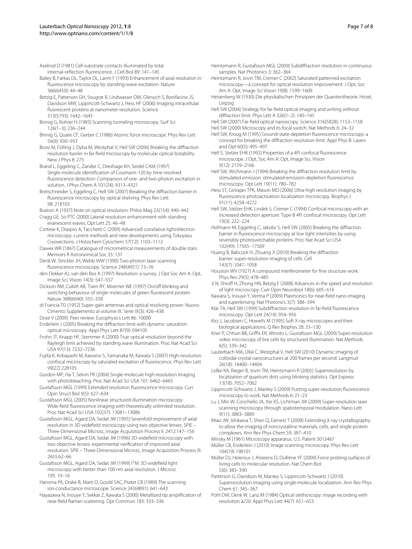- <span id="page-6-14"></span>Axelrod D (1981) Cell-substrate contacts illuminated by total internal-reflection fluorescence. J Cell Biol 89: 141–145
- <span id="page-6-24"></span>Bailey B, Farkas DL, Taylor DL, Lanni F (1993) Enhancement of axial resolution in fluorescence microscopy by standing-wave excitation. Nature 366(6450): 44–48
- <span id="page-6-50"></span>Betzig E, Patterson GH, Sougrat R, Lindwasser OW, Olenych S, Bonifacino JS, Davidson MW, Lippincott-Schwartz J, Hess HF (2006) Imaging intracellular fluorescent proteins at nanometer resolution. Science 313(5793): 1642–1645
- <span id="page-6-34"></span>Binnig G, Rohrer H (1983) Scanning tunneling microscopy. Surf Sci 126(1–3): 236–244
- <span id="page-6-33"></span>Binnig G, Quate CF, Gerber C (1986) Atomic force microscope. Phys Rev Lett 56(9): 930–933
- <span id="page-6-49"></span>Bossi M, Fölling J, Dyba M, Westphal V, Hell SW (2006) Breaking the diffraction resolution barrier in far-field microscopy by molecular optical bistability. New J Phys 8: 275
- <span id="page-6-29"></span>Brand L, Eggeling C, Zander C, Drexhage KH, Seidel CAM (1997) Single-molecule identification of Coumarin-120 by time-resolved fluorescence detection: Comparison of one- and two-photon excitation in solution. J Phys Chem A 101(24): 4313–4321
- <span id="page-6-44"></span>Bretschneider S, Eggeling C, Hell SW (2007) Breaking the diffraction barrier in fluorescence microscopy by optical shelving. Phys Rev Lett 98: 218103
- <span id="page-6-3"></span>Buxton A (1937) Note on optical resolution. Philos Mag 23(154): 440–442
- <span id="page-6-21"></span>Cragg GE, So PTC (2000) Lateral resolution enhancement with standing evanescent waves. Opt Lett 25: 46–48
- <span id="page-6-32"></span>Cortese K, Diaspro A, Tacchetti C (2009) Advanced correlative light/electron microscopy: current methods and new developments using Tokuyasu Cryosections. J Histochem Cytochem 57(12): 1103–1112
- <span id="page-6-0"></span>Dawes WR (1867) Catalogue of micrometrical measurements of double stars. Memoirs R Astronomical Soc 35: 137
- <span id="page-6-27"></span>Denk W, Strickler JH, Webb WW (1990) Two-photon laser scanning fluorescence microscopy. Science 248(4951): 73–76
- <span id="page-6-1"></span>den Dekker AJ, van den Bos A (1997) Resolution: a survey. J Opt Soc Am A: Opt, Image Sci, Vision 14(3): 547–557
- <span id="page-6-53"></span>Dickson RM, Cubitt AB, Tsien RY, Moerner WE (1997) On/off blinking and switching behaviour of single molecules of green fluorescent protein. Nature 388(6640): 355–358
- <span id="page-6-10"></span>di Francia TG (1952) Super-gain antennas and optical resolving power. Nuovo Cimento Supplemento al volume IX. Serie IX(3): 426–438
- <span id="page-6-43"></span>Dose V (2009). Peer review. Europhysics Lett 86: 10000

<span id="page-6-48"></span>Enderlein J (2005) Breaking the diffraction limit with dynamic saturation optical microscopy. Appl Phys Lett 87(9): 094105

- <span id="page-6-25"></span>Frohn JT, Knapp HF, Stemmer A (2000) True optical resolution beyond the Rayleigh limit achieved by standing wave illumination. Proc Nat Acad Sci USA 97(13): 7232–7236
- <span id="page-6-47"></span>Fujita K, Kobayashi M, Kawano S, Yamanaka M, Kawata S (2007) High-resolution confocal microscopy by saturated excitation of fluorescence. Phys Rev Lett 99(22) 228105
- <span id="page-6-54"></span>Gordon MP, Ha T, Selvin PR (2004) Single-molecule high-resolution imaging with photobleaching. Proc Nat Acad Sci USA 101: 6462–6465
- <span id="page-6-16"></span>Gustafsson MGL (1999) Extended resolution fluorescence microscopy. Curr Opin Struct Biol 9(5): 627–634
- <span id="page-6-46"></span>Gustafsson MGL (2005) Nonlinear structured-illumination microscopy: Wide-field fluorescence imaging with theoretically unlimited resolution. Proc Nat Acad Sci USA 102(37): 13081–13086
- <span id="page-6-19"></span>Gustafsson MGL, Agard DA, Sedat JW (1995) Sevenfold improvement of axial resolution in 3D widefield microscopy using two objective lenses. SPIE – Three-Dimensional Microsc, Image Acquisition Process II. 2412:147–156
- <span id="page-6-20"></span>Gustafsson MGL, Agard DA, Sedat JW (1996) 3D widefield microscopy with two objective lenses: experimental verification of improved axial resolution. SPIE – Three-Dimensional Microsc, Image Acquisition Process III. 2655:62–66
- <span id="page-6-23"></span>Gustafsson MGL, Agard DA, Sedat JW (1999) I<sup>5</sup>M: 3D widefield light microscopy with better than 100 nm axial resolution. J Microsc 195: 10–16
- <span id="page-6-35"></span>Hansma PK, Drake B, Marti O, Gould SAC, Prater CB (1989) The scanning ion-conductance microscope. Science 243(4891): 641–643
- <span id="page-6-12"></span>Hayazawa N, Inouye Y, Sekkat Z, Kawata S (2000) Metallized tip amplification of near-field Raman scattering. Opt Commun 183: 333–336
- <span id="page-6-4"></span>Heintzmann R, Gustafsson MGL (2009) Subdiffraction resolution in continuous samples. Nat Photonics 3: 362–364
- <span id="page-6-45"></span>Heintzmann R, Jovin TM, Cremer C (2002) Saturated patterned excitation microscopy—a concept for optical resolution improvement. J Opt, Soc Am A: Opt, Image Sci Vision 19(8): 1599–1609
- <span id="page-6-56"></span>Heisenberg W (1930) Die physikalischen Prinzipien der Quantentheorie. Hirzel, Leipzig
- <span id="page-6-38"></span>Hell SW (2004) Strategy for far-field optical imaging and writing without diffraction limit. Phys Lett A 326(1–2): 140–145
- <span id="page-6-5"></span>Hell SW (2007) Far-field optical nanoscopy. Science 316(5828): 1153–1158
- <span id="page-6-6"></span>Hell SW (2009) Microscopy and its focal switch. Nat Methods 6: 24–32
- <span id="page-6-39"></span>Hell SW, Kroug M (1995) Ground-state-depletion fluorescence microscopy: a concept for breaking the diffraction resolution limit. Appl Phys B: Lasers and Opt 60(5): 495–497
- <span id="page-6-17"></span>Hell S, Stelzer EHK (1992) Properties of a 4Pi confocal fluorescence microscope. J Opt, Soc Am A: Opt, Image Sci, Vision 9(12): 2159–2166
- <span id="page-6-37"></span>Hell SW, Wichmann J (1994) Breaking the diffraction resolution limit by stimulated emission: stimulated-emission-depletion fluorescence microscopy. Opt Lett 19(11): 780–782
- <span id="page-6-51"></span>Hess ST, Girirajan TPK, Mason MD (2006) Ultra-high resolution imaging by fluorescence photoactivation localization microscopy. Biophys J 91(11): 4258–4272
- <span id="page-6-18"></span>Hell SW, Stelzer EHK, Lindek S, Cremer C (1994) Confocal microscopy with an increased detection aperture: Type-B 4Pi confocal microscopy. Opt Lett 19(3): 222–224
- <span id="page-6-40"></span>Hofmann M, Eggeling C, Jakobs S, Hell SW (2005) Breaking the diffraction barrier in fluorescence microscopy at low light intensities by using reversibly photoswitchable proteins. Proc Nat Acad Sci USA 102(49): 17565–17569
- <span id="page-6-7"></span>Huang B, Babcock H, Zhuang X (2010) Breaking the diffraction barrier: super-resolution imaging of cells. Cell 143(7): 1047–1058
- <span id="page-6-2"></span>Houston WV (1927) A compound interferometer for fine structure work. Phys Rev 29(3): 478–485
- <span id="page-6-8"></span>Ji N, Shroff H, Zhong HN, Betzig E (2008) Advances in the speed and resolution of light microscopy. Curr Opin Neurobiol 18(6): 605–616
- <span id="page-6-13"></span>Kawata S, Inouye Y, Verma P (2009) Plasmonics for near-field nano-imaging and superlensing. Nat Photonics 3(7): 388–394
- <span id="page-6-41"></span>Klar TA, Hell SW (1999) Subdiffraction resolution in far-field fluorescence microscopy. Opt Lett 24(14): 954–956
- <span id="page-6-30"></span>Kirz J, Jacobsen C, Howells M (1995) Soft X-ray microscopes and their biological applications. Q Rev Biophys 28: 33–130
- <span id="page-6-22"></span>Kner P, Chhun BB, Griffis ER, Winoto L, Gustafsson MGL (2009) Super-resolution video microscopy of live cells by structured illumination. Nat Methods 6(5): 339–342
- <span id="page-6-42"></span>Lauterbach MA, Ullal C, Westphal V, Hell SW (2010) Dynamic imaging of colloidal-crystal nanostructures at 200 frames per second. Langmuir 26(18): 14400–14404
- <span id="page-6-55"></span>Lidke KA, Rieger B, Jovin TM, Heintzmann R (2005) Superresolution by localization of quantum dots using blinking statistics. Opt Express 13(18): 7052–7062
- <span id="page-6-9"></span>Lippincott-Schwartz J, Manley S (2009) Putting super-resolution fluorescence microscopy to work. Nat Methods 6: 21–23
- <span id="page-6-26"></span>Lu J, Min W, Conchello JA, Xie XS, Lichtman JW (2009) Super-resolution laser scanning microscopy through spatiotemporal modulation. Nano Lett 9(11): 3883–3889
- <span id="page-6-31"></span>Miao JW, Ishikawa T, Shen Q, Earnest T (2008) Extending X-ray crystallography to allow the imaging of noncrystalline materials, cells, and single protein complexes. Ann Rev Phys Chem 59: 387–410
- <span id="page-6-15"></span>Minsky M (1961) Microscopy apparatus. U.S. Patent 3013467
- <span id="page-6-28"></span>Müller CB, Enderlein J (2010) Image scanning microscopy. Phys Rev Lett 104(19) 198101
- <span id="page-6-36"></span>Müller DJ, Helenius J, Alsteens D, Dufrêne YF (2009) Force probing surfaces of living cells to molecular resolution. Nat Chem Biol 5(6): 383–390
- <span id="page-6-52"></span>Patterson G, Davidson M, Manley S, Lippincott-Schwartz J (2010)
- Superresolution imaging using single-molecule localization. Ann Rev Phys Chem 61: 345–367
- <span id="page-6-11"></span>Pohl DW, Denk W, Lanz M (1984) Optical stethoscopy: image recording with resolution *λ*/20. Appl Phys Lett 44(7): 651–653